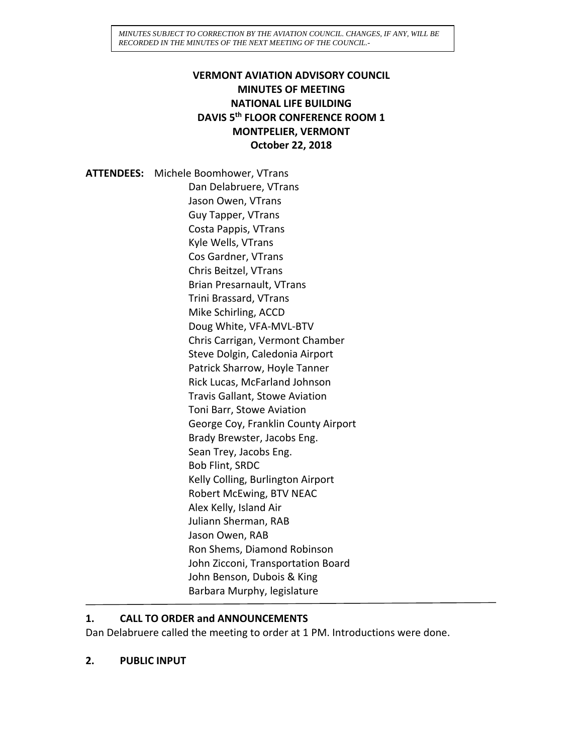# **VERMONT AVIATION ADVISORY COUNCIL MINUTES OF MEETING NATIONAL LIFE BUILDING DAVIS 5th FLOOR CONFERENCE ROOM 1 MONTPELIER, VERMONT October 22, 2018**

**ATTENDEES:** Michele Boomhower, VTrans Dan Delabruere, VTrans Jason Owen, VTrans Guy Tapper, VTrans Costa Pappis, VTrans Kyle Wells, VTrans Cos Gardner, VTrans Chris Beitzel, VTrans Brian Presarnault, VTrans Trini Brassard, VTrans Mike Schirling, ACCD Doug White, VFA-MVL-BTV Chris Carrigan, Vermont Chamber Steve Dolgin, Caledonia Airport Patrick Sharrow, Hoyle Tanner Rick Lucas, McFarland Johnson Travis Gallant, Stowe Aviation Toni Barr, Stowe Aviation George Coy, Franklin County Airport Brady Brewster, Jacobs Eng. Sean Trey, Jacobs Eng. Bob Flint, SRDC Kelly Colling, Burlington Airport Robert McEwing, BTV NEAC Alex Kelly, Island Air Juliann Sherman, RAB Jason Owen, RAB Ron Shems, Diamond Robinson John Zicconi, Transportation Board John Benson, Dubois & King Barbara Murphy, legislature

### **1. CALL TO ORDER and ANNOUNCEMENTS**

Dan Delabruere called the meeting to order at 1 PM. Introductions were done.

**2. PUBLIC INPUT**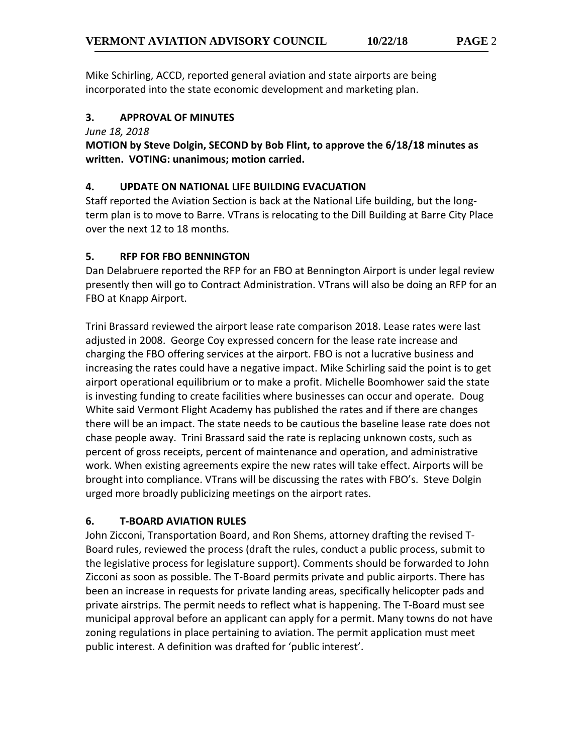Mike Schirling, ACCD, reported general aviation and state airports are being incorporated into the state economic development and marketing plan.

# **3. APPROVAL OF MINUTES**

*June 18, 2018*

**MOTION by Steve Dolgin, SECOND by Bob Flint, to approve the 6/18/18 minutes as written. VOTING: unanimous; motion carried.**

### **4. UPDATE ON NATIONAL LIFE BUILDING EVACUATION**

Staff reported the Aviation Section is back at the National Life building, but the longterm plan is to move to Barre. VTrans is relocating to the Dill Building at Barre City Place over the next 12 to 18 months.

# **5. RFP FOR FBO BENNINGTON**

Dan Delabruere reported the RFP for an FBO at Bennington Airport is under legal review presently then will go to Contract Administration. VTrans will also be doing an RFP for an FBO at Knapp Airport.

Trini Brassard reviewed the airport lease rate comparison 2018. Lease rates were last adjusted in 2008. George Coy expressed concern for the lease rate increase and charging the FBO offering services at the airport. FBO is not a lucrative business and increasing the rates could have a negative impact. Mike Schirling said the point is to get airport operational equilibrium or to make a profit. Michelle Boomhower said the state is investing funding to create facilities where businesses can occur and operate. Doug White said Vermont Flight Academy has published the rates and if there are changes there will be an impact. The state needs to be cautious the baseline lease rate does not chase people away. Trini Brassard said the rate is replacing unknown costs, such as percent of gross receipts, percent of maintenance and operation, and administrative work. When existing agreements expire the new rates will take effect. Airports will be brought into compliance. VTrans will be discussing the rates with FBO's. Steve Dolgin urged more broadly publicizing meetings on the airport rates.

### **6. T-BOARD AVIATION RULES**

John Zicconi, Transportation Board, and Ron Shems, attorney drafting the revised T-Board rules, reviewed the process (draft the rules, conduct a public process, submit to the legislative process for legislature support). Comments should be forwarded to John Zicconi as soon as possible. The T-Board permits private and public airports. There has been an increase in requests for private landing areas, specifically helicopter pads and private airstrips. The permit needs to reflect what is happening. The T-Board must see municipal approval before an applicant can apply for a permit. Many towns do not have zoning regulations in place pertaining to aviation. The permit application must meet public interest. A definition was drafted for 'public interest'.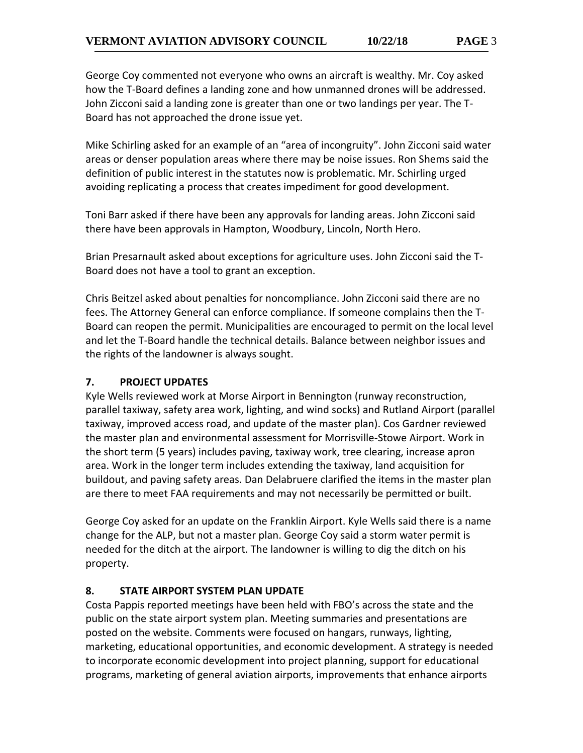George Coy commented not everyone who owns an aircraft is wealthy. Mr. Coy asked how the T-Board defines a landing zone and how unmanned drones will be addressed. John Zicconi said a landing zone is greater than one or two landings per year. The T-Board has not approached the drone issue yet.

Mike Schirling asked for an example of an "area of incongruity". John Zicconi said water areas or denser population areas where there may be noise issues. Ron Shems said the definition of public interest in the statutes now is problematic. Mr. Schirling urged avoiding replicating a process that creates impediment for good development.

Toni Barr asked if there have been any approvals for landing areas. John Zicconi said there have been approvals in Hampton, Woodbury, Lincoln, North Hero.

Brian Presarnault asked about exceptions for agriculture uses. John Zicconi said the T-Board does not have a tool to grant an exception.

Chris Beitzel asked about penalties for noncompliance. John Zicconi said there are no fees. The Attorney General can enforce compliance. If someone complains then the T-Board can reopen the permit. Municipalities are encouraged to permit on the local level and let the T-Board handle the technical details. Balance between neighbor issues and the rights of the landowner is always sought.

## **7. PROJECT UPDATES**

Kyle Wells reviewed work at Morse Airport in Bennington (runway reconstruction, parallel taxiway, safety area work, lighting, and wind socks) and Rutland Airport (parallel taxiway, improved access road, and update of the master plan). Cos Gardner reviewed the master plan and environmental assessment for Morrisville-Stowe Airport. Work in the short term (5 years) includes paving, taxiway work, tree clearing, increase apron area. Work in the longer term includes extending the taxiway, land acquisition for buildout, and paving safety areas. Dan Delabruere clarified the items in the master plan are there to meet FAA requirements and may not necessarily be permitted or built.

George Coy asked for an update on the Franklin Airport. Kyle Wells said there is a name change for the ALP, but not a master plan. George Coy said a storm water permit is needed for the ditch at the airport. The landowner is willing to dig the ditch on his property.

# **8. STATE AIRPORT SYSTEM PLAN UPDATE**

Costa Pappis reported meetings have been held with FBO's across the state and the public on the state airport system plan. Meeting summaries and presentations are posted on the website. Comments were focused on hangars, runways, lighting, marketing, educational opportunities, and economic development. A strategy is needed to incorporate economic development into project planning, support for educational programs, marketing of general aviation airports, improvements that enhance airports